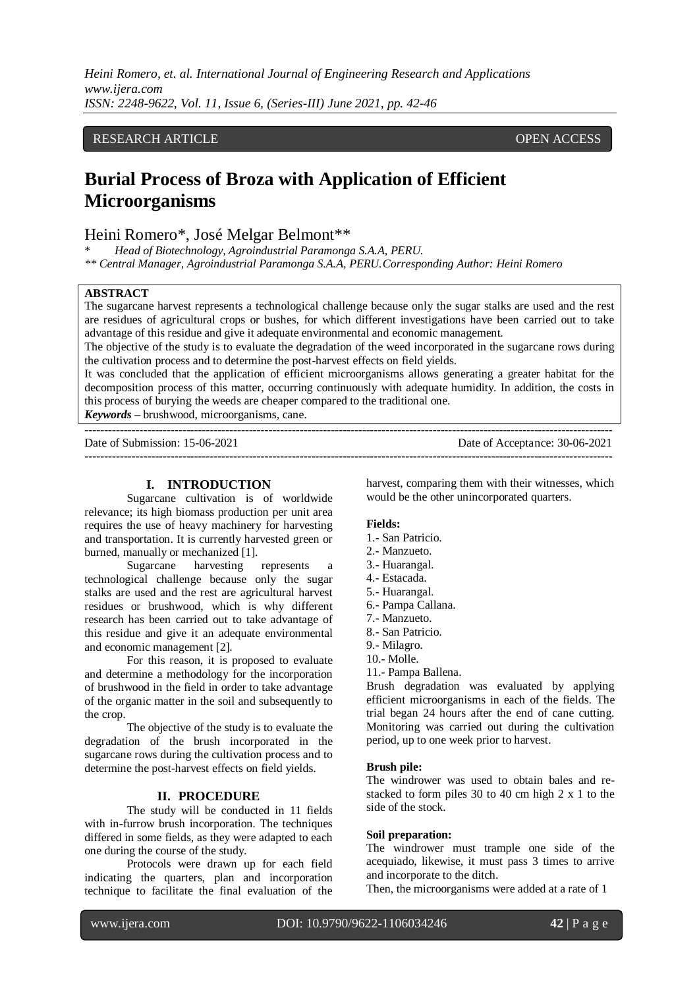*Heini Romero, et. al. International Journal of Engineering Research and Applications www.ijera.com ISSN: 2248-9622, Vol. 11, Issue 6, (Series-III) June 2021, pp. 42-46*

# RESEARCH ARTICLE **CONSERVERS** OPEN ACCESS

# **Burial Process of Broza with Application of Efficient Microorganisms**

# Heini Romero\*, José Melgar Belmont\*\*

\* *Head of Biotechnology, Agroindustrial Paramonga S.A.A, PERU.*

*\*\* Central Manager, Agroindustrial Paramonga S.A.A, PERU.Corresponding Author: Heini Romero*

### **ABSTRACT**

The sugarcane harvest represents a technological challenge because only the sugar stalks are used and the rest are residues of agricultural crops or bushes, for which different investigations have been carried out to take advantage of this residue and give it adequate environmental and economic management.

The objective of the study is to evaluate the degradation of the weed incorporated in the sugarcane rows during the cultivation process and to determine the post-harvest effects on field yields.

It was concluded that the application of efficient microorganisms allows generating a greater habitat for the decomposition process of this matter, occurring continuously with adequate humidity. In addition, the costs in this process of burying the weeds are cheaper compared to the traditional one. *Keywords* **–** brushwood, microorganisms, cane.

---------------------------------------------------------------------------------------------------------------------------------------

---------------------------------------------------------------------------------------------------------------------------------------

Date of Submission: 15-06-2021 Date of Acceptance: 30-06-2021

## **I. INTRODUCTION**

Sugarcane cultivation is of worldwide relevance; its high biomass production per unit area requires the use of heavy machinery for harvesting and transportation. It is currently harvested green or

burned, manually or mechanized [1].<br>Sugarcane harvesting represents a Sugarcane harvesting technological challenge because only the sugar stalks are used and the rest are agricultural harvest residues or brushwood, which is why different research has been carried out to take advantage of this residue and give it an adequate environmental and economic management [2].

For this reason, it is proposed to evaluate and determine a methodology for the incorporation of brushwood in the field in order to take advantage of the organic matter in the soil and subsequently to the crop.

The objective of the study is to evaluate the degradation of the brush incorporated in the sugarcane rows during the cultivation process and to determine the post-harvest effects on field yields.

#### **II. PROCEDURE**

The study will be conducted in 11 fields with in-furrow brush incorporation. The techniques differed in some fields, as they were adapted to each one during the course of the study.

Protocols were drawn up for each field indicating the quarters, plan and incorporation technique to facilitate the final evaluation of the harvest, comparing them with their witnesses, which would be the other unincorporated quarters.

#### **Fields:**

- 1.- San Patricio.
- 2.- Manzueto.
- 3.- Huarangal.
- 4.- Estacada.
- 5.- Huarangal.
- 6.- Pampa Callana.
- 7.- Manzueto.
- 8.- San Patricio.
- 9.- Milagro.
- 10.- Molle.
- 11.- Pampa Ballena.

Brush degradation was evaluated by applying efficient microorganisms in each of the fields. The trial began 24 hours after the end of cane cutting. Monitoring was carried out during the cultivation period, up to one week prior to harvest.

#### **Brush pile:**

The windrower was used to obtain bales and restacked to form piles 30 to 40 cm high 2 x 1 to the side of the stock.

#### **Soil preparation:**

The windrower must trample one side of the acequiado, likewise, it must pass 3 times to arrive and incorporate to the ditch.

Then, the microorganisms were added at a rate of 1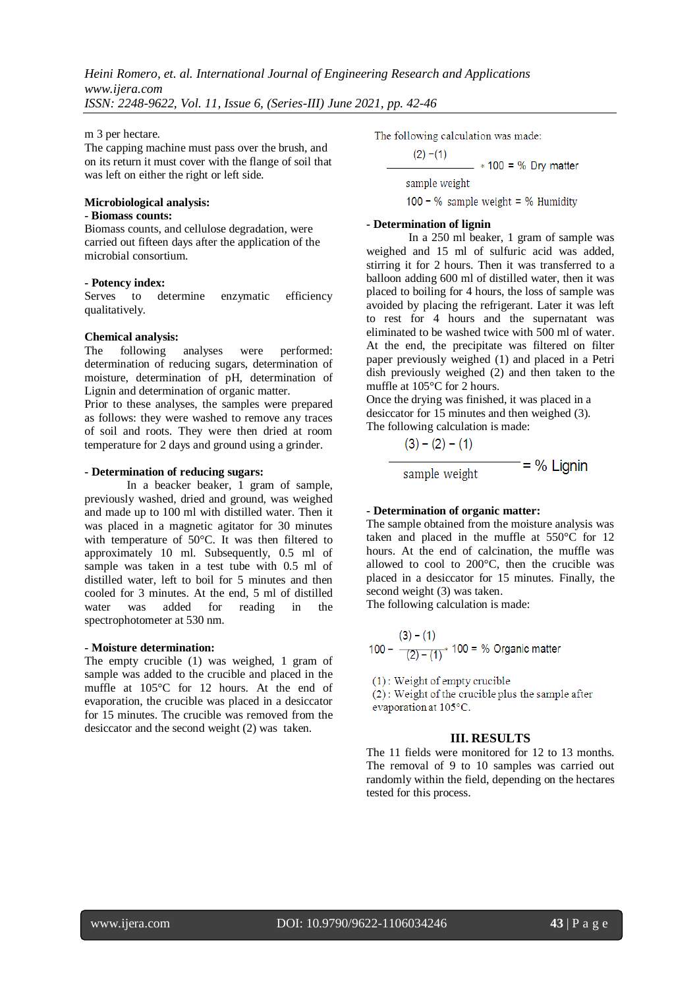m 3 per hectare.

The capping machine must pass over the brush, and on its return it must cover with the flange of soil that was left on either the right or left side.

## **Microbiological analysis:**

### **- Biomass counts:**

Biomass counts, and cellulose degradation, were carried out fifteen days after the application of the microbial consortium.

#### **- Potency index:**

Serves to determine enzymatic efficiency qualitatively.

#### **Chemical analysis:**

The following analyses were performed: determination of reducing sugars, determination of moisture, determination of pH, determination of Lignin and determination of organic matter.

Prior to these analyses, the samples were prepared as follows: they were washed to remove any traces of soil and roots. They were then dried at room temperature for 2 days and ground using a grinder.

#### **- Determination of reducing sugars:**

In a beacker beaker, 1 gram of sample, previously washed, dried and ground, was weighed and made up to 100 ml with distilled water. Then it was placed in a magnetic agitator for 30 minutes with temperature of 50°C. It was then filtered to approximately 10 ml. Subsequently, 0.5 ml of sample was taken in a test tube with 0.5 ml of distilled water, left to boil for 5 minutes and then cooled for 3 minutes. At the end, 5 ml of distilled water was added for reading in the spectrophotometer at 530 nm.

#### **- Moisture determination:**

The empty crucible (1) was weighed, 1 gram of sample was added to the crucible and placed in the muffle at 105°C for 12 hours. At the end of evaporation, the crucible was placed in a desiccator for 15 minutes. The crucible was removed from the desiccator and the second weight (2) was taken.

The following calculation was made:

$$
(2) - (1)
$$
  
\n
$$
* 100 = % Dry matter
$$
  
\nsample weight  
\n100 - % sample weight = % Humidity

### **- Determination of lignin**

In a 250 ml beaker, 1 gram of sample was weighed and 15 ml of sulfuric acid was added, stirring it for 2 hours. Then it was transferred to a balloon adding 600 ml of distilled water, then it was placed to boiling for 4 hours, the loss of sample was avoided by placing the refrigerant. Later it was left to rest for 4 hours and the supernatant was eliminated to be washed twice with 500 ml of water. At the end, the precipitate was filtered on filter paper previously weighed (1) and placed in a Petri dish previously weighed (2) and then taken to the muffle at 105°C for 2 hours.

Once the drying was finished, it was placed in a desiccator for 15 minutes and then weighed (3). The following calculation is made:

$$
\frac{(3) - (2) - (1)}{\text{sample weight}} = % \text{Lignin}
$$

#### **- Determination of organic matter:**

The sample obtained from the moisture analysis was taken and placed in the muffle at 550°C for 12 hours. At the end of calcination, the muffle was allowed to cool to 200°C, then the crucible was placed in a desiccator for 15 minutes. Finally, the second weight (3) was taken.

The following calculation is made:

$$
(3) - (1)
$$
  
100 -  $\frac{(3) - (1)}{(2) - (1)^*}$  100 = % Organization matter

 $(1)$ : Weight of empty crucible

(2): Weight of the crucible plus the sample after evaporation at 105°C.

## **III. RESULTS**

The 11 fields were monitored for 12 to 13 months. The removal of 9 to 10 samples was carried out randomly within the field, depending on the hectares tested for this process.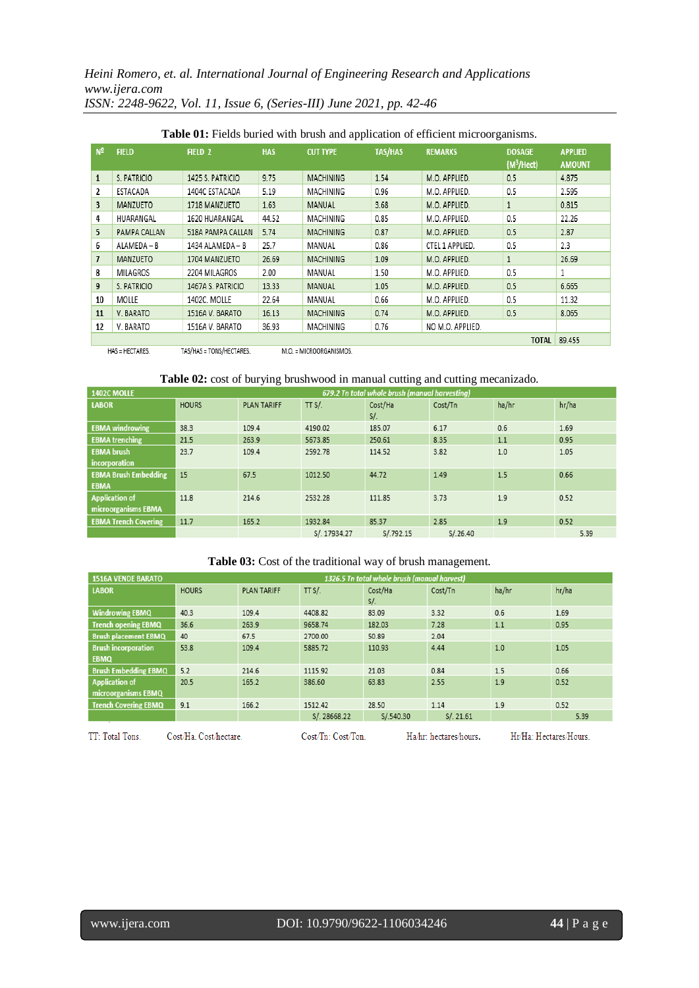*Heini Romero, et. al. International Journal of Engineering Research and Applications www.ijera.com ISSN: 2248-9622, Vol. 11, Issue 6, (Series-III) June 2021, pp. 42-46*

| $N^2$          | <b>FIELD</b>                                                                   | FIELD <sub>2</sub> | <b>HAS</b> | <b>CUT TYPE</b>  | <b>TAS/HAS</b> | <b>REMARKS</b>  | <b>DOSAGE</b><br>(M <sup>3</sup> /Hect) | <b>APPLIED</b><br><b>AMOUNT</b> |
|----------------|--------------------------------------------------------------------------------|--------------------|------------|------------------|----------------|-----------------|-----------------------------------------|---------------------------------|
| 1              | S. PATRICIO                                                                    | 1425 S. PATRICIO   | 9.75       | <b>MACHINING</b> | 1.54           | M.O. APPLIED.   | 0.5                                     | 4.875                           |
| 2              | ESTACADA                                                                       | 1404C ESTACADA     | 5.19       | MACHINING        | 0.96           | M.O. APPLIED.   | 0.5                                     | 2.595                           |
| 3              | MANZUETO                                                                       | 1718 MANZUETO      | 1.63       | MANUAL           | 3.68           | M.O. APPLIED.   | 1                                       | 0.815                           |
| 4              | HUARANGAL                                                                      | 1620 HUARANGAL     | 44.52      | MACHINING        | 0.85           | M.O. APPLIED.   | 0.5                                     | 22.26                           |
| 5              | PAMPA CALLAN                                                                   | 518A PAMPA CALLAN  | 5.74       | <b>MACHINING</b> | 0.87           | M.O. APPLIED.   | 0.5                                     | 2.87                            |
| 6              | ALAMEDA - B                                                                    | 1434 ALAMEDA - B   | 25.7       | MANUAL           | 0.86           | CTEL 1 APPLIED. | 0.5                                     | 2.3                             |
| $\overline{1}$ | MANZUETO                                                                       | 1704 MANZUETO      | 26.69      | <b>MACHINING</b> | 1.09           | M.O. APPLIED.   | 1                                       | 26.69                           |
| 8              | MILAGROS                                                                       | 2204 MILAGROS      | 2.00       | MANUAL           | 1.50           | M.O. APPLIED.   | 0.5                                     |                                 |
| 9              | S. PATRICIO                                                                    | 1467A S. PATRICIO  | 13.33      | MANUAL           | 1.05           | M.O. APPLIED.   | 0.5                                     | 6.665                           |
| 10             | MOLLE                                                                          | 1402C. MOLLE       | 22.64      | MANUAL           | 0.66           | M.O. APPLIED.   | 0.5                                     | 11.32                           |
| 11             | V. BARATO                                                                      | 1516A V. BARATO    | 16.13      | <b>MACHINING</b> | 0.74           | M.O. APPLIED.   | 0.5                                     | 8.065                           |
| 12             | 36.93<br>0.76<br>V. BARATO<br>1516A V. BARATO<br>MACHINING<br>NO M.O. APPLIED. |                    |            |                  |                |                 |                                         |                                 |
| TOTAL          |                                                                                |                    |            |                  |                |                 |                                         |                                 |

# **Table 01:** Fields buried with brush and application of efficient microorganisms.

HAS = HECTARES. TAS/HAS = TONS/HECTARES. M.O. = MICROORGANISMOS.

## **Table 02:** cost of burying brushwood in manual cutting and cutting mecanizado.

| 1402C MOLLE                                  |              |                    | 679.2 Tn total whole brush (manual harvesting) |                |          |       |       |  |  |
|----------------------------------------------|--------------|--------------------|------------------------------------------------|----------------|----------|-------|-------|--|--|
| <b>LABOR</b>                                 | <b>HOURS</b> | <b>PLAN TARIFF</b> | TT $S/L$                                       | Cost/Ha<br>S/L | Cost/Tn  | ha/hr | hr/ha |  |  |
| <b>EBMA</b> windrowing                       | 38.3         | 109.4              | 4190.02                                        | 185.07         | 6.17     | 0.6   | 1.69  |  |  |
| <b>EBMA</b> trenching                        | 21.5         | 263.9              | 5673.85                                        | 250.61         | 8.35     | 1.1   | 0.95  |  |  |
| <b>EBMA</b> brush<br>incorporation           | 23.7         | 109.4              | 2592.78                                        | 114.52         | 3.82     | 1.0   | 1.05  |  |  |
| <b>EBMA Brush Embedding</b><br><b>EBMA</b>   | 15           | 67.5               | 1012.50                                        | 44.72          | 1.49     | 1.5   | 0.66  |  |  |
| <b>Application of</b><br>microorganisms EBMA | 11.8         | 214.6              | 2532.28                                        | 111.85         | 3.73     | 1.9   | 0.52  |  |  |
| <b>EBMA Trench Covering</b>                  | 11.7         | 165.2              | 1932.84                                        | 85.37          | 2.85     | 1.9   | 0.52  |  |  |
|                                              |              |                    | S/. 17934.27                                   | S/.792.15      | S/.26.40 |       | 5.39  |  |  |

# **Table 03:** Cost of the traditional way of brush management.

| <b>1516A VENDE BARATO</b>                    |              |                    | 1326.5 Tn total whole brush (manual harvest) |                |           |       |       |  |
|----------------------------------------------|--------------|--------------------|----------------------------------------------|----------------|-----------|-------|-------|--|
| <b>LABOR</b>                                 | <b>HOURS</b> | <b>PLAN TARIFF</b> | TT $S/L$                                     | Cost/Ha<br>S/L | Cost/Tn   | ha/hr | hr/ha |  |
| <b>Windrowing EBMQ</b>                       | 40.3         | 109.4              | 4408.82                                      | 83.09          | 3.32      | 0.6   | 1.69  |  |
| <b>Trench opening EBMQ</b>                   | 36.6         | 263.9              | 9658.74                                      | 182.03         | 7.28      | 1.1   | 0.95  |  |
| <b>Brush placement EBMQ</b>                  | 40           | 67.5               | 2700.00                                      | 50.89          | 2.04      |       |       |  |
| <b>Brush incorporation</b><br><b>EBMQ</b>    | 53.8         | 109.4              | 5885.72                                      | 110.93         | 4.44      | 1.0   | 1.05  |  |
| <b>Brush Embedding EBMQ</b>                  | 5.2          | 214.6              | 1115.92                                      | 21.03          | 0.84      | 1.5   | 0.66  |  |
| <b>Application of</b><br>microorganisms EBMQ | 20.5         | 165.2              | 386.60                                       | 63.83          | 2.55      | 1.9   | 0.52  |  |
| <b>Trench Covering EBMQ</b>                  | 9.1          | 166.2              | 1512.42                                      | 28.50          | 1.14      | 1.9   | 0.52  |  |
|                                              |              |                    | S/. 28668.22                                 | S/.540.30      | S/. 21.61 |       | 5.39  |  |
|                                              |              |                    |                                              |                |           |       |       |  |

TT: Total Tons.

Cost/Ha. Cost/hectare.

Cost/Tn: Cost/Ton.

Ha/hr: hectares/hours.

Hr/Ha: Hectares/Hours.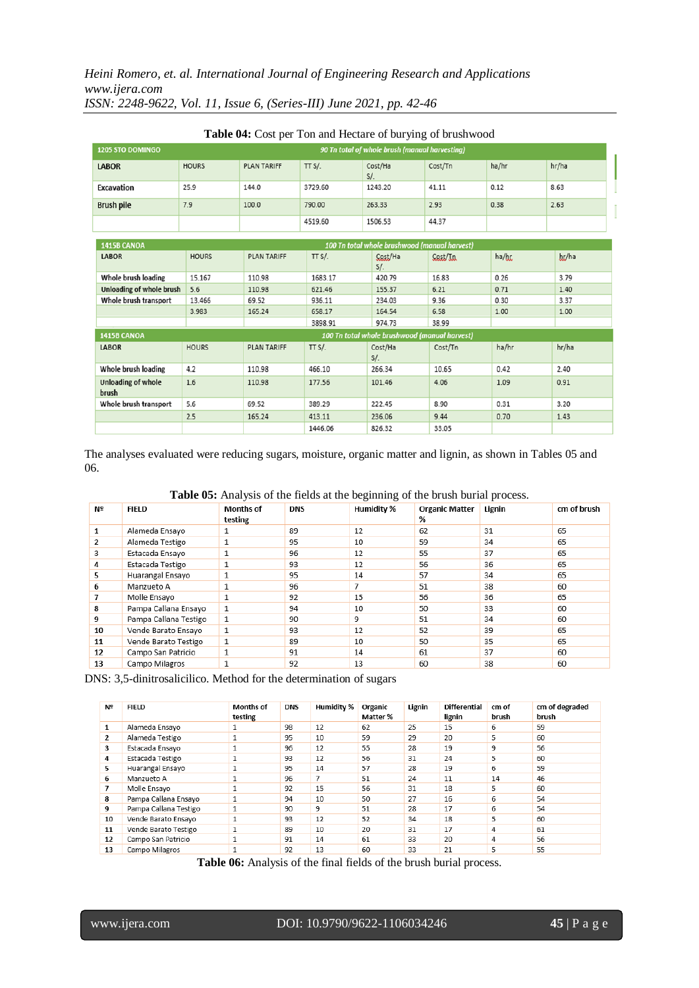# *Heini Romero, et. al. International Journal of Engineering Research and Applications www.ijera.com ISSN: 2248-9622, Vol. 11, Issue 6, (Series-III) June 2021, pp. 42-46*

| 90 Tn total of whole brush (manual harvesting)<br>1205 STO DOMINGO |              |                    |          |                                               |          |       |       |  |  |
|--------------------------------------------------------------------|--------------|--------------------|----------|-----------------------------------------------|----------|-------|-------|--|--|
| <b>LABOR</b>                                                       | <b>HOURS</b> | <b>PLAN TARIFF</b> | TT $S/L$ | Cost/Ha<br>S/L                                | Cost/Tn  | ha/hr | hr/ha |  |  |
| Excavation                                                         | 25.9         | 144.0              | 3729.60  | 1243.20                                       | 41.11    | 0.12  | 8.63  |  |  |
| <b>Brush pile</b>                                                  | 7.9<br>100.0 |                    | 790.00   | 263.33                                        | 2.93     | 0.38  | 2.63  |  |  |
|                                                                    |              |                    | 4519.60  | 1506.53                                       | 44.37    |       |       |  |  |
| 1415B CANOA<br>100 Tn total whole brushwood (manual harvest)       |              |                    |          |                                               |          |       |       |  |  |
| <b>LABOR</b>                                                       | <b>HOURS</b> | <b>PLAN TARIFF</b> | TT $S/L$ | Cost/Ha<br>S/L                                | Cast/In  | ha/hr | hr/ha |  |  |
| Whole brush loading                                                | 15.167       | 110.98             | 1683.17  | 420.79                                        | 16.83    | 0.26  | 3.79  |  |  |
| Unloading of whole brush                                           | 5.6          | 110.98             | 621.46   | 155.37                                        | 6.21     | 0.71  | 1.40  |  |  |
| Whole brush transport                                              | 13.466       | 69.52              | 936.11   | 234.03                                        | 9.36     | 0.30  | 3.37  |  |  |
|                                                                    | 3.983        | 165.24             | 658.17   | 164.54                                        | 6.58     | 1.00  | 1.00  |  |  |
|                                                                    |              |                    | 3898.91  | 974.73                                        | 38.99    |       |       |  |  |
| 1415B CANOA                                                        |              |                    |          | 100 Tn total whole brushwood (manual harvest) |          |       |       |  |  |
| <b>LABOR</b>                                                       | <b>HOURS</b> | <b>PLAN TARIFF</b> | TT $S/L$ | Cost/Ha<br>S/L                                | Cost/Tn  | ha/hr | hr/ha |  |  |
| Whole brush loading                                                | 4.2          | 110.98             | 466.10   | 266.34                                        | 10.65    | 0.42  | 2.40  |  |  |
| <b>Unloading of whole</b><br>brush                                 | 1.6          | 110.98             | 177.56   | 101.46                                        | 4.06     | 1.09  | 0.91  |  |  |
| Whole brush transport                                              | 5.6          | 69.52              | 389.29   | 222.45                                        | 8.90     | 0.31  | 3.20  |  |  |
|                                                                    | 25           | 165.24             | A1211    | 236.06                                        | $Q$ $AA$ | 0.70  | 1A2   |  |  |

| Table 04: Cost per Ton and Hectare of burying of brushwood |
|------------------------------------------------------------|
|------------------------------------------------------------|

The analyses evaluated were reducing sugars, moisture, organic matter and lignin, as shown in Tables 05 and 06.

826.32

33.05

1446.06

**Table 05:** Analysis of the fields at the beginning of the brush burial process.

| Nº             | <b>FIELD</b>          | <b>Months of</b><br>testing | <b>DNS</b> | <b>Humidity %</b> | <b>Organic Matter</b><br>% | Lignin | cm of brush |
|----------------|-----------------------|-----------------------------|------------|-------------------|----------------------------|--------|-------------|
| 1              | Alameda Ensayo        |                             | 89         | 12                | 62                         | 31     | 65          |
| $\overline{2}$ | Alameda Testigo       |                             | 95         | 10                | 59                         | 34     | 65          |
| 3              | Estacada Ensayo       |                             | 96         | 12                | 55                         | 37     | 65          |
| 4              | Estacada Testigo      |                             | 93         | 12                | 56                         | 36     | 65          |
| 5              | Huarangal Ensayo      |                             | 95         | 14                | 57                         | 34     | 65          |
| 6              | Manzueto A            |                             | 96         | 7                 | 51                         | 38     | 60          |
|                | Molle Ensayo          | 1                           | 92         | 15                | 56                         | 36     | 65          |
| 8              | Pampa Callana Ensayo  | 1                           | 94         | 10                | 50                         | 33     | 60          |
| 9              | Pampa Callana Testigo | 1                           | 90         | 9                 | 51                         | 34     | 60          |
| 10             | Vende Barato Ensayo   | 1                           | 93         | 12                | 52                         | 39     | 65          |
| 11             | Vende Barato Testigo  | 1                           | 89         | 10                | 50                         | 35     | 65          |
| 12             | Campo San Patricio    | 1                           | 91         | 14                | 61                         | 37     | 60          |
| 13             | Campo Milagros        | 1                           | 92         | 13                | 60                         | 38     | 60          |

DNS: 3,5-dinitrosalicilico. Method for the determination of sugars

| Nº | <b>FIELD</b>          | <b>Months of</b><br>testing | <b>DNS</b> | <b>Humidity %</b> | Organic<br>Matter % | Lignin | <b>Differential</b><br>lignin | cm of<br>brush | cm of degraded<br>brush |
|----|-----------------------|-----------------------------|------------|-------------------|---------------------|--------|-------------------------------|----------------|-------------------------|
| 1  | Alameda Ensayo        | 1                           | 98         | 12                | 62                  | 25     | 15                            | 6              | 59                      |
| 2  | Alameda Testigo       | 1                           | 95         | 10                | 59                  | 29     | 20                            | 5              | 60                      |
| 3  | Estacada Ensayo       | 1                           | 96         | 12                | 55                  | 28     | 19                            | 9              | 56                      |
| 4  | Estacada Testigo      | 1                           | 93         | 12                | 56                  | 31     | 24                            | 5              | 60                      |
| 5. | Huarangal Ensayo      | 1                           | 95         | 14                | 57                  | 28     | 19                            | 6              | 59                      |
| 6  | Manzueto A            |                             | 96         | 7                 | 51                  | 24     | 11                            | 14             | 46                      |
|    | Molle Ensayo          | 1                           | 92         | 15                | 56                  | 31     | 18                            | 5              | 60                      |
| 8  | Pampa Callana Ensayo  | 1                           | 94         | 10                | 50                  | 27     | 16                            | 6              | 54                      |
| 9  | Pampa Callana Testigo | 1                           | 90         | 9                 | 51                  | 28     | 17                            | 6              | 54                      |
| 10 | Vende Barato Ensayo   | 1                           | 93         | 12                | 52                  | 34     | 18                            | 5              | 60                      |
| 11 | Vende Barato Testigo  | 1                           | 89         | 10                | 20                  | 31     | 17                            | 4              | 61                      |
| 12 | Campo San Patricio    | 1                           | 91         | 14                | 61                  | 33     | 20                            | 4              | 56                      |
| 13 | Campo Milagros        | 1                           | 92         | 13                | 60                  | 33     | 21                            | 5              | 55                      |

**Table 06:** Analysis of the final fields of the brush burial process.